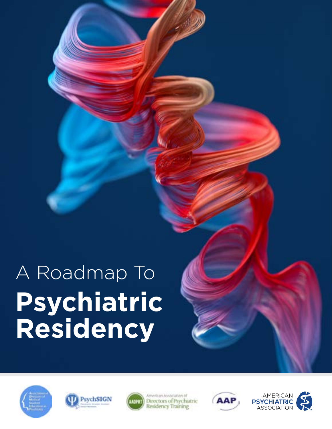





American Association of Directors of Psychiatric Residency Training



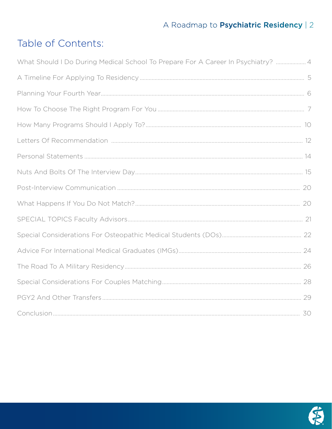# Table of Contents:

| What Should I Do During Medical School To Prepare For A Career In Psychiatry?  4 |  |
|----------------------------------------------------------------------------------|--|
|                                                                                  |  |
|                                                                                  |  |
|                                                                                  |  |
|                                                                                  |  |
|                                                                                  |  |
|                                                                                  |  |
|                                                                                  |  |
|                                                                                  |  |
|                                                                                  |  |
|                                                                                  |  |
|                                                                                  |  |
|                                                                                  |  |
|                                                                                  |  |
|                                                                                  |  |
|                                                                                  |  |
|                                                                                  |  |

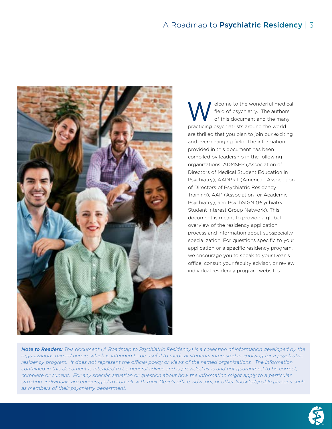

elcome to the wonderful medical<br>field of psychiatry. The authors<br>of this document and the many field of psychiatry. The authors of this document and the many practicing psychiatrists around the world are thrilled that you plan to join our exciting and ever-changing field. The information provided in this document has been compiled by leadership in the following organizations: ADMSEP (Association of Directors of Medical Student Education in Psychiatry), AADPRT (American Association of Directors of Psychiatric Residency Training), AAP (Association for Academic Psychiatry), and PsychSIGN (Psychiatry Student Interest Group Network). This document is meant to provide a global overview of the residency application process and information about subspecialty specialization. For questions specific to your application or a specific residency program, we encourage you to speak to your Dean's office, consult your faculty advisor, or review individual residency program websites.

*Note to Readers: This document (A Roadmap to Psychiatric Residency) is a collection of information developed by the organizations named herein, which is intended to be useful to medical students interested in applying for a psychiatric*  residency program. It does not represent the official policy or views of the named organizations. The information *contained in this document is intended to be general advice and is provided as-is and not guaranteed to be correct,*  complete or current. For any specific situation or question about how the information might apply to a particular situation, individuals are encouraged to consult with their Dean's office, advisors, or other knowledgeable persons such *as members of their psychiatry department.*

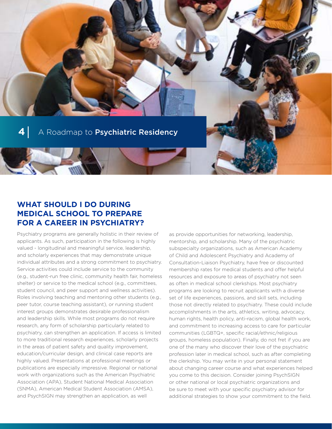# **WHAT SHOULD I DO DURING MEDICAL SCHOOL TO PREPARE FOR A CAREER IN PSYCHIATRY?**

Psychiatry programs are generally holistic in their review of applicants. As such, participation in the following is highly valued - longitudinal and meaningful service, leadership, and scholarly experiences that may demonstrate unique individual attributes and a strong commitment to psychiatry. Service activities could include service to the community (e.g., student-run free clinic, community health fair, homeless shelter) or service to the medical school (e.g., committees, student council, and peer support and wellness activities). Roles involving teaching and mentoring other students (e.g., peer tutor, course teaching assistant), or running student interest groups demonstrates desirable professionalism and leadership skills. While most programs do not require research, any form of scholarship particularly related to psychiatry, can strengthen an application. If access is limited to more traditional research experiences, scholarly projects in the areas of patient safety and quality improvement, education/curricular design, and clinical case reports are highly valued. Presentations at professional meetings or publications are especially impressive. Regional or national work with organizations such as the American Psychiatric Association (APA), Student National Medical Association (SNMA), American Medical Student Association (AMSA), and PsychSIGN may strengthen an application, as well

as provide opportunities for networking, leadership, mentorship, and scholarship. Many of the psychiatric subspecialty organizations, such as American Academy of Child and Adolescent Psychiatry and Academy of Consultation-Liaison Psychiatry, have free or discounted membership rates for medical students and offer helpful resources and exposure to areas of psychiatry not seen as often in medical school clerkships. Most psychiatry programs are looking to recruit applicants with a diverse set of life experiences, passions, and skill sets, including those not directly related to psychiatry. These could include accomplishments in the arts, athletics, writing, advocacy, human rights, health policy, anti-racism, global health work, and commitment to increasing access to care for particular communities (LGBTQ+, specific racial/ethnic/religious groups, homeless population). Finally, do not fret if you are one of the many who discover their love of the psychiatric profession later in medical school, such as after completing the clerkship. You may write in your personal statement about changing career course and what experiences helped you come to this decision. Consider joining PsychSIGN or other national or local psychiatric organizations and be sure to meet with your specific psychiatry advisor for additional strategies to show your commitment to the field.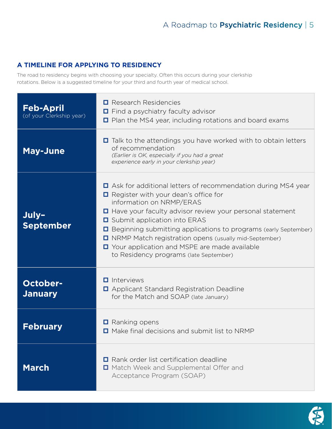# **A TIMELINE FOR APPLYING TO RESIDENCY**

The road to residency begins with choosing your specialty. Often this occurs during your clerkship rotations. Below is a suggested timeline for your third and fourth year of medical school.

| <b>Feb-April</b><br>(of your Clerkship year) | $\Box$ Research Residencies<br>$\Box$ Find a psychiatry faculty advisor<br>$\Box$ Plan the MS4 year, including rotations and board exams                                                                                                                                                                                                                                                                                                                                     |
|----------------------------------------------|------------------------------------------------------------------------------------------------------------------------------------------------------------------------------------------------------------------------------------------------------------------------------------------------------------------------------------------------------------------------------------------------------------------------------------------------------------------------------|
| <b>May-June</b>                              | $\Box$ Talk to the attendings you have worked with to obtain letters<br>of recommendation<br>(Earlier is OK, especially if you had a great<br>experience early in your clerkship year)                                                                                                                                                                                                                                                                                       |
| July-<br><b>September</b>                    | □ Ask for additional letters of recommendation during MS4 year<br>$\Box$ Register with your dean's office for<br>information on NRMP/ERAS<br>□ Have your faculty advisor review your personal statement<br><b>□</b> Submit application into ERAS<br>□ Beginning submitting applications to programs (early September)<br>I NRMP Match registration opens (usually mid-September)<br>□ Your application and MSPE are made available<br>to Residency programs (late September) |
| <b>October-</b><br><b>January</b>            | $\blacksquare$ Interviews<br>□ Applicant Standard Registration Deadline<br>for the Match and SOAP (late January)                                                                                                                                                                                                                                                                                                                                                             |
| <b>February</b>                              | $\Box$ Ranking opens<br>$\Box$ Make final decisions and submit list to NRMP                                                                                                                                                                                                                                                                                                                                                                                                  |
| <b>March</b>                                 | <b>E</b> Rank order list certification deadline<br>□ Match Week and Supplemental Offer and<br>Acceptance Program (SOAP)                                                                                                                                                                                                                                                                                                                                                      |

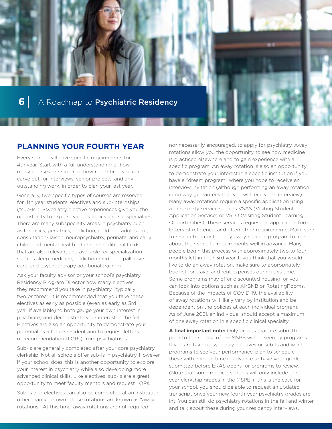

# **PLANNING YOUR FOURTH YEAR**

Every school will have specific requirements for 4th year. Start with a full understanding of how many courses are required, how much time you can carve out for interviews, senior projects, and any outstanding work, in order to plan your last year.

Generally, two specific types of courses are reserved for 4th year students: electives and sub-internships ("sub-Is"). Psychiatry elective experiences give you the opportunity to explore various topics and subspecialties. There are many subspecialty areas in psychiatry such as forensics, geriatrics, addiction, child and adolescent, consultation-liaison, neuropsychiatry, perinatal and early childhood mental health. There are additional fields that are also relevant and available for specialization such as sleep medicine, addiction medicine, palliative care, and psychotherapy additional training.

Ask your faculty advisor or your school's psychiatry Residency Program Director how many electives they recommend you take in psychiatry (typically two or three). It is recommended that you take these electives as early as possible (even as early as 3rd year if available) to both gauge your own interest in psychiatry and demonstrate your interest in the field. Electives are also an opportunity to demonstrate your potential as a future resident and to request letters of recommendation (LORs) from psychiatrists.

Sub-Is are generally completed after your core psychiatry clerkship. Not all schools offer sub-Is in psychiatry. However, if your school does, this is another opportunity to explore your interest in psychiatry while also developing more advanced clinical skills. Like electives, sub-Is are a great opportunity to meet faculty mentors and request LORs.

Sub-Is and electives can also be completed at an institution other than your own. These rotations are known as "away rotations." At this time, away rotations are not required,

nor necessarily encouraged, to apply for psychiatry. Away rotations allow you the opportunity to see how medicine is practiced elsewhere and to gain experience with a specific program. An away rotation is also an opportunity to demonstrate your interest in a specific institution if you have a "dream program" where you hope to receive an interview invitation (although performing an away rotation in no way guarantees that you will receive an interview). Many away rotations require a specific application using a third-party service such as VSAS (Visiting Student Application Service) or VSLO (Visiting Student Learning Opportunities). These services request an application form, letters of reference, and often other requirements. Make sure to research or contact any away rotation program to learn about their specific requirements well in advance. Many people begin this process with approximately two to four months left in their 3rd year. If you think that you would like to do an away rotation, make sure to appropriately budget for travel and rent expenses during this time. Some programs may offer discounted housing, or you can look into options such as AirBNB or RotatingRooms. Because of the impacts of COVID-19, the availability of away rotations will likely vary by institution and be dependent on the policies at each individual program. As of June 2021, an individual should accept a maximum of one away rotation in a specific clinical specialty.

**A final important note:** Only grades that are submitted prior to the release of the MSPE will be seen by programs. If you are taking psychiatry electives or sub-Is and want programs to see your performance, plan to schedule these with enough time in advance to have your grade submitted before ERAS opens for programs to review. (Note that some medical schools will only include third year clerkship grades in the MSPE; if this is the case for your school, you should be able to request an updated transcript once your new fourth-year psychiatry grades are in). You can still do psychiatry rotations in the fall and winter and talk about these during your residency interviews.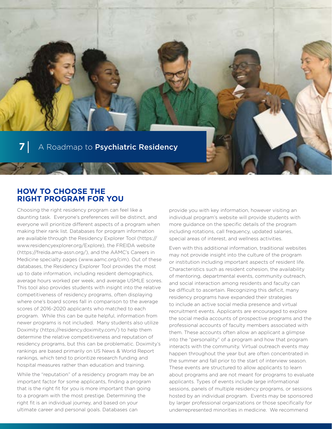## **HOW TO CHOOSE THE RIGHT PROGRAM FOR YOU**

Choosing the right residency program can feel like a daunting task. Everyone's preferences will be distinct, and everyone will prioritize different aspects of a program when making their rank list. Databases for program information are available through the Residency Explorer Tool [\(https://](https://www.residencyexplorer.org/Explore) [www.residencyexplorer.org/Explore\)](https://www.residencyexplorer.org/Explore), the FREIDA website [\(https://freida.ama-assn.org/\)](https://freida.ama-assn.org/), and the AAMC's Careers in Medicine specialty pages ([www.aamc.org/cim](http://www.aamc.org/cim)). Out of these databases, the Residency Explorer Tool provides the most up to date information, including resident demographics, average hours worked per week, and average USMLE scores. This tool also provides students with insight into the relative competitiveness of residency programs, often displaying where one's board scores fall in comparison to the average scores of 2016-2020 applicants who matched to each program. While this can be quite helpful, information from newer programs is not included. Many students also utilize Doximity ([https://residency.doximity.com/\)](https://residency.doximity.com/) to help them determine the relative competitiveness and reputation of residency programs, but this can be problematic. Doximity's rankings are based primarily on US News & World Report rankings, which tend to prioritize research funding and hospital measures rather than education and training.

While the "reputation" of a residency program may be an important factor for some applicants, finding a program that is the right fit for you is more important than going to a program with the most prestige. Determining the right fit is an individual journey, and based on your ultimate career and personal goals. Databases can

provide you with key information, however visiting an individual program's website will provide students with more guidance on the specific details of the program including rotations, call frequency, updated salaries, special areas of interest, and wellness activities.

Even with this additional information, traditional websites may not provide insight into the culture of the program or institution including important aspects of resident life. Characteristics such as resident cohesion, the availability of mentoring, departmental events, community outreach, and social interaction among residents and faculty can be difficult to ascertain. Recognizing this deficit, many residency programs have expanded their strategies to include an active social media presence and virtual recruitment events. Applicants are encouraged to explore the social media accounts of prospective programs and the professional accounts of faculty members associated with them. These accounts often allow an applicant a glimpse into the "personality" of a program and how that program interacts with the community. Virtual outreach events may happen throughout the year but are often concentrated in the summer and fall prior to the start of interview season. These events are structured to allow applicants to learn about programs and are not meant for programs to evaluate applicants. Types of events include large informational sessions, panels of multiple residency programs, or sessions hosted by an individual program. Events may be sponsored by larger professional organizations or those specifically for underrepresented minorities in medicine. We recommend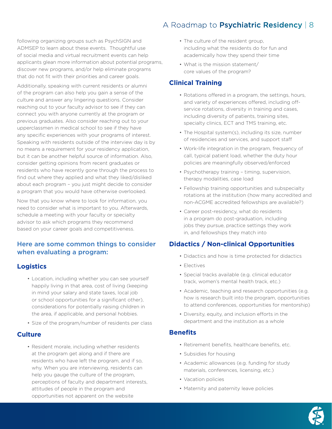following organizing groups such as PsychSIGN and ADMSEP to learn about these events. Thoughtful use of social media and virtual recruitment events can help applicants glean more information about potential programs, discover new programs, and/or help eliminate programs that do not fit with their priorities and career goals.

Additionally, speaking with current residents or alumni of the program can also help you gain a sense of the culture and answer any lingering questions. Consider reaching out to your faculty advisor to see if they can connect you with anyone currently at the program or previous graduates. Also consider reaching out to your upperclassmen in medical school to see if they have any specific experiences with your programs of interest. Speaking with residents outside of the interview day is by no means a requirement for your residency application, but it can be another helpful source of information. Also, consider getting opinions from recent graduates or residents who have recently gone through the process to find out where they applied and what they liked/disliked about each program – you just might decide to consider a program that you would have otherwise overlooked.

Now that you know where to look for information, you need to consider what is important to you. Afterwards, schedule a meeting with your faculty or specialty advisor to ask which programs they recommend based on your career goals and competitiveness.

## Here are some common things to consider when evaluating a program:

## **Logistics**

- Location, including whether you can see yourself happily living in that area, cost of living (keeping in mind your salary and state taxes, local job or school opportunities for a significant other), considerations for potentially raising children in the area, if applicable, and personal hobbies.
- Size of the program/number of residents per class

#### **Culture**

• Resident morale, including whether residents at the program get along and if there are residents who have left the program, and if so, why. When you are interviewing, residents can help you gauge the culture of the program, perceptions of faculty and department interests, attitudes of people in the program and opportunities not apparent on the website

- The culture of the resident group, including what the residents do for fun and academically how they spend their time
- What is the mission statement/ core values of the program?

### **Clinical Training**

- Rotations offered in a program, the settings, hours, and variety of experiences offered, including offservice rotations, diversity in training and cases, including diversity of patients, training sites, specialty clinics, ECT and TMS training, etc.
- The Hospital system(s), including its size, number of residencies and services, and support staff
- Work-life integration in the program, frequency of call, typical patient load, whether the duty hour policies are meaningfully observed/enforced
- Psychotherapy training timing, supervision, therapy modalities, case load
- Fellowship training opportunities and subspecialty rotations at the institution (how many accredited and non-ACGME accredited fellowships are available?)
- Career post-residency, what do residents in a program do post-graduation, including jobs they pursue, practice settings they work in, and fellowships they match into

## **Didactics / Non-clinical Opportunities**

- Didactics and how is time protected for didactics
- Electives
- Special tracks available (e.g. clinical educator track, women's mental health track, etc.)
- Academic, teaching and research opportunities (e.g. how is research built into the program, opportunities to attend conferences, opportunities for mentorship)
- Diversity, equity, and inclusion efforts in the department and the institution as a whole

#### **Benefits**

- Retirement benefits, healthcare benefits, etc.
- Subsidies for housing
- Academic allowances (e.g. funding for study materials, conferences, licensing, etc.)
- Vacation policies
- Maternity and paternity leave policies

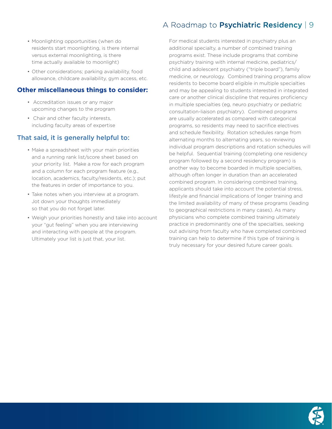- Moonlighting opportunities (when do residents start moonlighting, is there internal versus external moonlighting, is there time actually available to moonlight)
- Other considerations; parking availability, food allowance, childcare availability, gym access, etc.

#### **Other miscellaneous things to consider:**

- Accreditation issues or any major upcoming changes to the program
- Chair and other faculty interests, including faculty areas of expertise

# That said, it is generally helpful to:

- Make a spreadsheet with your main priorities and a running rank list/score sheet based on your priority list. Make a row for each program and a column for each program feature (e.g., location, academics, faculty/residents, etc.); put the features in order of importance to you.
- Take notes when you interview at a program. Jot down your thoughts immediately so that you do not forget later.
- Weigh your priorities honestly and take into account your "gut feeling" when you are interviewing and interacting with people at the program. Ultimately your list is just that, your list.

# A Roadmap to Psychiatric Residency | 9

For medical students interested in psychiatry plus an additional specialty, a number of combined training programs exist. These include programs that combine psychiatry training with internal medicine, pediatrics/ child and adolescent psychiatry ("triple board"), family medicine, or neurology. Combined training programs allow residents to become board eligible in multiple specialties and may be appealing to students interested in integrated care or another clinical discipline that requires proficiency in multiple specialties (eg, neuro psychiatry or pediatric consultation-liaison psychiatry). Combined programs are usually accelerated as compared with categorical programs, so residents may need to sacrifice electives and schedule flexibility. Rotation schedules range from alternating months to alternating years, so reviewing individual program descriptions and rotation schedules will be helpful. Sequential training (completing one residency program followed by a second residency program) is another way to become boarded in multiple specialties, although often longer in duration than an accelerated combined program. In considering combined training, applicants should take into account the potential stress, lifestyle and financial implications of longer training and the limited availability of many of these programs (leading to geographical restrictions in many cases). As many physicians who complete combined training ultimately practice in predominantly one of the specialties, seeking out advising from faculty who have completed combined training can help to determine if this type of training is truly necessary for your desired future career goals.

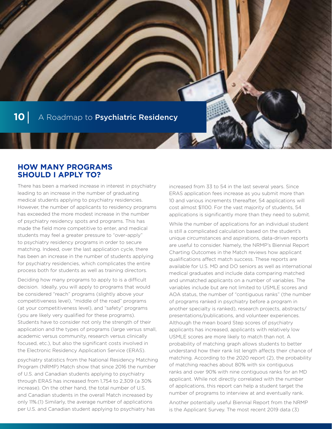

## **HOW MANY PROGRAMS SHOULD I APPLY TO?**

There has been a marked increase in interest in psychiatry leading to an increase in the number of graduating medical students applying to psychiatry residencies. However, the number of applicants to residency programs has exceeded the more modest increase in the number of psychiatry residency spots and programs. This has made the field more competitive to enter, and medical students may feel a greater pressure to "over-apply" to psychiatry residency programs in order to secure matching. Indeed, over the last application cycle, there has been an increase in the number of students applying for psychiatry residencies, which complicates the entire process both for students as well as training directors.

Deciding how many programs to apply to is a difficult decision. Ideally, you will apply to programs that would be considered "reach" programs (slightly above your competitiveness level), "middle of the road" programs (at your competitiveness level), and "safety" programs (you are likely very qualified for these programs). Students have to consider not only the strength of their application and the types of programs (large versus small, academic versus community, research versus clinically focused, etc.), but also the significant costs involved in the Electronic Residency Application Service (ERAS).

psychiatry statistics from the National Residency Matching Program (NRMP) Match show that since 2016 the number of U.S. and Canadian students applying to psychiatry through ERAS has increased from 1,754 to 2,309 (a 30% increase). On the other hand, the total number of U.S. and Canadian students in the overall Match increased by only 11%.(1) Similarly, the average number of applications per U.S. and Canadian student applying to psychiatry has

increased from 33 to 54 in the last several years. Since ERAS application fees increase as you submit more than 10 and various increments thereafter, 54 applications will cost almost \$1100. For the vast majority of students, 54 applications is significantly more than they need to submit.

While the number of applications for an individual student is still a complicated calculation based on the student's unique circumstances and aspirations, data-driven reports are useful to consider. Namely, the NRMP's Biennial Report Charting Outcomes in the Match reviews how applicant qualifications affect match success. These reports are available for U.S. MD and DO seniors as well as international medical graduates and include data comparing matched and unmatched applicants on a number of variables. The variables include but are not limited to USMLE scores and AOA status, the number of "contiguous ranks" (the number of programs ranked in psychiatry before a program in another specialty is ranked), research projects, abstracts/ presentations/publications, and volunteer experiences. Although the mean board Step scores of psychiatry applicants has increased, applicants with relatively low USMLE scores are more likely to match than not. A probability of matching graph allows students to better understand how their rank list length affects their chance of matching. According to the 2020 report (2), the probability of matching reaches about 80% with six contiguous ranks and over 90% with nine contiguous ranks for an MD applicant. While not directly correlated with the number of applications, this report can help a student target the number of programs to interview at and eventually rank.

Another potentially useful Biennial Report from the NRMP is the Applicant Survey. The most recent 2019 data (3)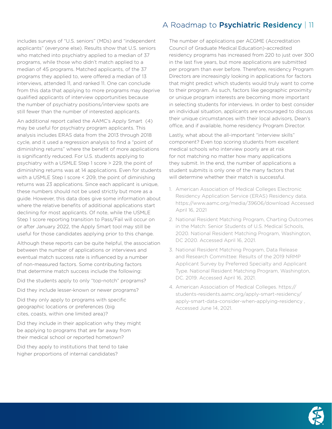includes surveys of "U.S. seniors" (MDs) and "independent applicants" (everyone else). Results show that U.S. seniors who matched into psychiatry applied to a median of 37 programs, while those who didn't match applied to a median of 45 programs. Matched applicants, of the 37 programs they applied to, were offered a median of 13 interviews, attended 11, and ranked 11. One can conclude from this data that applying to more programs may deprive qualified applicants of interview opportunities because the number of psychiatry positions/interview spots are still fewer than the number of interested applicants.

An additional report called the AAMC's Apply Smart (4) may be useful for psychiatry program applicants. This analysis includes ERAS data from the 2013 through 2018 cycle, and it used a regression analysis to find a "point of diminishing returns" where the benefit of more applications is significantly reduced. For U.S. students applying to psychiatry with a USMLE Step 1 score > 229, the point of diminishing returns was at 14 applications. Even for students with a USMLE Step I score < 209, the point of diminishing returns was 23 applications. Since each applicant is unique, these numbers should not be used strictly but more as a guide. However, this data does give some information about where the relative benefits of additional applications start declining for most applicants. Of note, while the USMLE Step 1 score reporting transition to Pass/Fail will occur on or after January 2022, the Apply Smart tool may still be useful for those candidates applying prior to this change.

Although these reports can be quite helpful, the association between the number of applications or interviews and eventual match success rate is influenced by a number of non-measured factors. Some contributing factors that determine match success include the following:

Did the students apply to only "top-notch" programs?

Did they include lesser-known or newer programs?

Did they only apply to programs with specific geographic locations or preferences (big cites, coasts, within one limited area)?

Did they include in their application why they might be applying to programs that are far away from their medical school or reported hometown?

Did they apply to institutions that tend to take higher proportions of internal candidates?

The number of applications per ACGME (Accreditation Council of Graduate Medical Education)-accredited residency programs has increased from 220 to just over 300 in the last five years, but more applications are submitted per program than ever before. Therefore, residency Program Directors are increasingly looking in applications for factors that might predict which students would truly want to come to their program. As such, factors like geographic proximity or unique program interests are becoming more important in selecting students for interviews. In order to best consider an individual situation, applicants are encouraged to discuss their unique circumstances with their local advisors, Dean's office, and if available, home residency Program Director.

Lastly, what about the all-important "interview skills" component? Even top scoring students from excellent medical schools who interview poorly are at risk for not matching no matter how many applications they submit. In the end, the number of applications a student submits is only one of the many factors that will determine whether their match is successful.

- 1. American Association of Medical Colleges Electronic Residency Application Service (ERAS) Residency data. <https://www.aamc.org/media/39606/download> Accessed April 16, 2021
- 2. National Resident Matching Program, Charting Outcomes in the Match: Senior Students of U.S. Medical Schools, 2020. National Resident Matching Program, Washington, DC 2020. Accessed April 16, 2021.
- 3. National Resident Matching Program, Data Release and Research Committee: Results of the 2019 NRMP Applicant Survey by Preferred Specialty and Applicant Type. National Resident Matching Program, Washington, DC. 2019. Accessed April 16, 2021.
- 4. American Association of Medical Colleges. [https://](https://students-residents.aamc.org/apply-smart-residency/apply-smart-data-consider-when-applying-residency) [students-residents.aamc.org/apply-smart-residency/](https://students-residents.aamc.org/apply-smart-residency/apply-smart-data-consider-when-applying-residency) [apply-smart-data-consider-when-applying-residency](https://students-residents.aamc.org/apply-smart-residency/apply-smart-data-consider-when-applying-residency) , Accessed June 14, 2021.

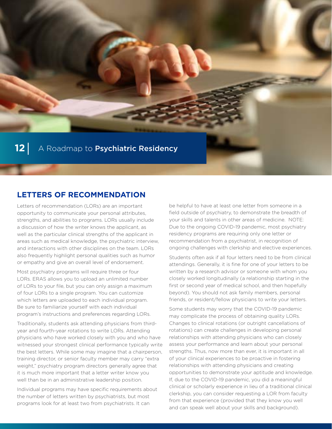

# **LETTERS OF RECOMMENDATION**

Letters of recommendation (LORs) are an important opportunity to communicate your personal attributes, strengths, and abilities to programs. LORs usually include a discussion of how the writer knows the applicant, as well as the particular clinical strengths of the applicant in areas such as medical knowledge, the psychiatric interview, and interactions with other disciplines on the team. LORs also frequently highlight personal qualities such as humor or empathy and give an overall level of endorsement.

Most psychiatry programs will require three or four LORs. ERAS allows you to upload an unlimited number of LORs to your file, but you can only assign a maximum of four LORs to a single program. You can customize which letters are uploaded to each individual program. Be sure to familiarize yourself with each individual program's instructions and preferences regarding LORs.

Traditionally, students ask attending physicians from thirdyear and fourth-year rotations to write LORs. Attending physicians who have worked closely with you and who have witnessed your strongest clinical performance typically write the best letters. While some may imagine that a chairperson, training director, or senior faculty member may carry "extra weight," psychiatry program directors generally agree that it is much more important that a letter writer know you well than be in an administrative leadership position.

Individual programs may have specific requirements about the number of letters written by psychiatrists, but most programs look for at least two from psychiatrists. It can

be helpful to have at least one letter from someone in a field outside of psychiatry, to demonstrate the breadth of your skills and talents in other areas of medicine. NOTE: Due to the ongoing COVID-19 pandemic, most psychiatry residency programs are requiring only one letter or recommendation from a psychiatrist, in recognition of ongoing challenges with clerkship and elective experiences.

Students often ask if all four letters need to be from clinical attendings. Generally, it is fine for one of your letters to be written by a research advisor or someone with whom you closely worked longitudinally (a relationship starting in the first or second year of medical school, and then hopefully beyond). You should not ask family members, personal friends, or resident/fellow physicians to write your letters.

Some students may worry that the COVID-19 pandemic may complicate the process of obtaining quality LORs. Changes to clinical rotations (or outright cancellations of rotations) can create challenges in developing personal relationships with attending physicians who can closely assess your performance and learn about your personal strengths. Thus, now more than ever, it is important in all of your clinical experiences to be proactive in fostering relationships with attending physicians and creating opportunities to demonstrate your aptitude and knowledge. If, due to the COVID-19 pandemic, you did a meaningful clinical or scholarly experience in lieu of a traditional clinical clerkship, you can consider requesting a LOR from faculty from that experience (provided that they know you well and can speak well about your skills and background).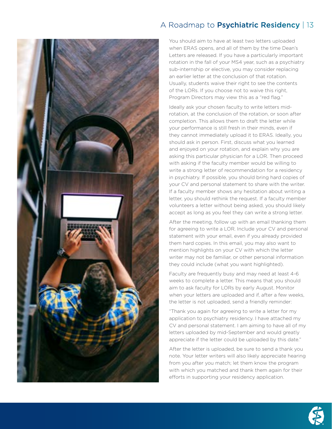

You should aim to have at least two letters uploaded when ERAS opens, and all of them by the time Dean's Letters are released. If you have a particularly important rotation in the fall of your MS4 year, such as a psychiatry sub-internship or elective, you may consider replacing an earlier letter at the conclusion of that rotation. Usually, students waive their right to see the contents of the LORs. If you choose not to waive this right, Program Directors may view this as a "red flag."

Ideally ask your chosen faculty to write letters midrotation, at the conclusion of the rotation, or soon after completion. This allows them to draft the letter while your performance is still fresh in their minds, even if they cannot immediately upload it to ERAS. Ideally, you should ask in person. First, discuss what you learned and enjoyed on your rotation, and explain why you are asking this particular physician for a LOR. Then proceed with asking if the faculty member would be willing to write a strong letter of recommendation for a residency in psychiatry. If possible, you should bring hard copies of your CV and personal statement to share with the writer. If a faculty member shows any hesitation about writing a letter, you should rethink the request. If a faculty member volunteers a letter without being asked, you should likely accept as long as you feel they can write a strong letter.

After the meeting, follow up with an email thanking them for agreeing to write a LOR. Include your CV and personal statement with your email, even if you already provided them hard copies. In this email, you may also want to mention highlights on your CV with which the letter writer may not be familiar, or other personal information they could include (what you want highlighted).

Faculty are frequently busy and may need at least 4-6 weeks to complete a letter. This means that you should aim to ask faculty for LORs by early August. Monitor when your letters are uploaded and if, after a few weeks, the letter is not uploaded, send a friendly reminder:

"Thank you again for agreeing to write a letter for my application to psychiatry residency. I have attached my CV and personal statement. I am aiming to have all of my letters uploaded by mid-September and would greatly appreciate if the letter could be uploaded by this date."

After the letter is uploaded, be sure to send a thank you note. Your letter writers will also likely appreciate hearing from you after you match; let them know the program with which you matched and thank them again for their efforts in supporting your residency application.

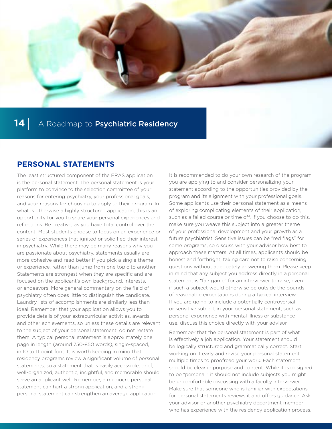

## **PERSONAL STATEMENTS**

The least structured component of the ERAS application is the personal statement. The personal statement is your platform to convince to the selection committee of your reasons for entering psychiatry, your professional goals, and your reasons for choosing to apply to their program. In what is otherwise a highly structured application, this is an opportunity for you to share your personal experiences and reflections. Be creative, as you have total control over the content. Most students choose to focus on an experience or series of experiences that ignited or solidified their interest in psychiatry. While there may be many reasons why you are passionate about psychiatry, statements usually are more cohesive and read better if you pick a single theme or experience, rather than jump from one topic to another. Statements are strongest when they are specific and are focused on the applicant's own background, interests, or endeavors. More general commentary on the field of psychiatry often does little to distinguish the candidate. Laundry lists of accomplishments are similarly less than ideal. Remember that your application allows you to provide details of your extracurricular activities, awards, and other achievements, so unless these details are relevant to the subject of your personal statement, do not restate them. A typical personal statement is approximately one page in length (around 750-850 words), single-spaced, in 10 to 11 point font. It is worth keeping in mind that residency programs review a significant volume of personal statements, so a statement that is easily accessible, brief, well-organized, authentic, insightful, and memorable should serve an applicant well. Remember, a mediocre personal statement can hurt a strong application, and a strong personal statement can strengthen an average application.

It is recommended to do your own research of the program you are applying to and consider personalizing your statement according to the opportunities provided by the program and its alignment with your professional goals. Some applicants use their personal statement as a means of exploring complicating elements of their application, such as a failed course or time off. If you choose to do this, make sure you weave this subject into a greater theme of your professional development and your growth as a future psychiatrist. Sensitive issues can be "red flags" for some programs, so discuss with your advisor how best to approach these matters. At all times, applicants should be honest and forthright, taking care not to raise concerning questions without adequately answering them. Please keep in mind that any subject you address directly in a personal statement is "fair game" for an interviewer to raise, even if such a subject would otherwise be outside the bounds of reasonable expectations during a typical interview. If you are going to include a potentially controversial or sensitive subject in your personal statement, such as personal experience with mental illness or substance use, discuss this choice directly with your advisor.

Remember that the personal statement is part of what is effectively a job application. Your statement should be logically structured and grammatically correct. Start working on it early and revise your personal statement multiple times to proofread your work. Each statement should be clear in purpose and content. While it is designed to be "personal," it should not include subjects you might be uncomfortable discussing with a faculty interviewer. Make sure that someone who is familiar with expectations for personal statements reviews it and offers guidance. Ask your advisor or another psychiatry department member who has experience with the residency application process.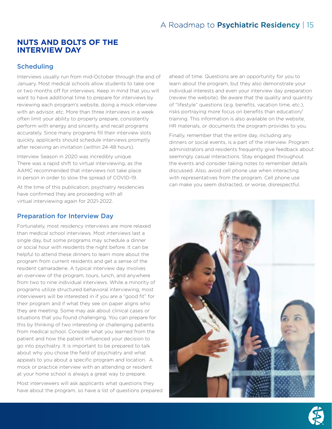## **NUTS AND BOLTS OF THE INTERVIEW DAY**

## **Scheduling**

Interviews usually run from mid-October through the end of January. Most medical schools allow students to take one or two months off for interviews. Keep in mind that you will want to have additional time to prepare for interviews by reviewing each program's website, doing a mock interview with an advisor, etc. More than three interviews in a week often limit your ability to properly prepare, consistently perform with energy and sincerity, and recall programs accurately. Since many programs fill their interview slots quickly, applicants should schedule interviews promptly after receiving an invitation (within 24-48 hours).

Interview Season in 2020 was incredibly unique. There was a rapid shift to virtual interviewing, as the AAMC recommended that interviews not take place in person in order to slow the spread of COVID-19.

At the time of this publication, psychiatry residencies have confirmed they are proceeding with all virtual interviewing again for 2021-2022.

### Preparation for Interview Day

Fortunately, most residency interviews are more relaxed than medical school interviews. Most interviews last a single day, but some programs may schedule a dinner or social hour with residents the night before. It can be helpful to attend these dinners to learn more about the program from current residents and get a sense of the resident camaraderie. A typical interview day involves an overview of the program, tours, lunch, and anywhere from two to nine individual interviews. While a minority of programs utilize structured behavioral interviewing, most interviewers will be interested in if you are a "good fit" for their program and if what they see on paper aligns who they are meeting. Some may ask about clinical cases or situations that you found challenging. You can prepare for this by thinking of two interesting or challenging patients from medical school. Consider what you learned from the patient and how the patient influenced your decision to go into psychiatry. It is important to be prepared to talk about why you chose the field of psychiatry and what appeals to you about a specific program and location. A mock or practice interview with an attending or resident at your home school is always a great way to prepare.

Most interviewers will ask applicants what questions they have about the program, so have a list of questions prepared ahead of time. Questions are an opportunity for you to learn about the program, but they also demonstrate your individual interests and even your interview day preparation (review the website). Be aware that the quality and quantity of "lifestyle" questions (e.g. benefits, vacation time, etc.), risks portraying more focus on benefits than education/ training. This information is also available on the website, HR materials, or documents the program provides to you.

Finally, remember that the entire day, including any dinners or social events, is a part of the interview. Program administrators and residents frequently give feedback about seemingly casual interactions. Stay engaged throughout the events and consider taking notes to remember details discussed. Also, avoid cell phone use when interacting with representatives from the program. Cell phone use can make you seem distracted, or worse, disrespectful.



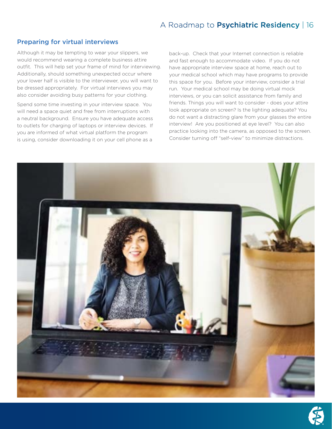#### Preparing for virtual interviews

Although it may be tempting to wear your slippers, we would recommend wearing a complete business attire outfit. This will help set your frame of mind for interviewing. Additionally, should something unexpected occur where your lower half is visible to the interviewer, you will want to be dressed appropriately. For virtual interviews you may also consider avoiding busy patterns for your clothing.

Spend some time investing in your interview space. You will need a space quiet and free from interruptions with a neutral background. Ensure you have adequate access to outlets for charging of laptops or interview devices. If you are informed of what virtual platform the program is using, consider downloading it on your cell phone as a

back-up. Check that your Internet connection is reliable and fast enough to accommodate video. If you do not have appropriate interview space at home, reach out to your medical school which may have programs to provide this space for you. Before your interview, consider a trial run. Your medical school may be doing virtual mock interviews, or you can solicit assistance from family and friends. Things you will want to consider - does your attire look appropriate on screen? Is the lighting adequate? You do not want a distracting glare from your glasses the entire interview! Are you positioned at eye level? You can also practice looking into the camera, as opposed to the screen. Consider turning off "self-view" to minimize distractions.



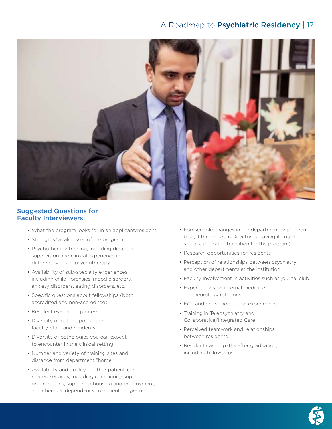

#### Suggested Questions for Faculty Interviewers:

- What the program looks for in an applicant/resident
- Strengths/weaknesses of the program
- Psychotherapy training, including didactics, supervision and clinical experience in different types of psychotherapy
- Availability of sub-specialty experiences including child, forensics, mood disorders, anxiety disorders, eating disorders, etc.
- Specific questions about fellowships (both accredited and non-accredited)
- Resident evaluation process
- Diversity of patient population, faculty, staff, and residents
- Diversity of pathologies you can expect to encounter in the clinical setting
- Number and variety of training sites and distance from department "home"
- Availability and quality of other patient-care related services, including community support organizations, supported housing and employment, and chemical dependency treatment programs
- Foreseeable changes in the department or program (e.g., if the Program Director is leaving it could signal a period of transition for the program)
- Research opportunities for residents
- Perception of relationships between psychiatry and other departments at the institution
- Faculty involvement in activities such as journal club
- Expectations on internal medicine and neurology rotations
- ECT and neuromodulation experiences
- Training in Telepsychiatry and Collaborative/Integrated Care
- Perceived teamwork and relationships between residents
- Resident career paths after graduation, including fellowships

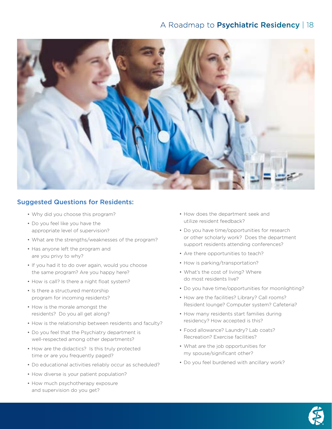

## Suggested Questions for Residents:

- Why did you choose this program?
- Do you feel like you have the appropriate level of supervision?
- What are the strengths/weaknesses of the program?
- Has anyone left the program and are you privy to why?
- If you had it to do over again, would you choose the same program? Are you happy here?
- How is call? Is there a night float system?
- Is there a structured mentorship program for incoming residents?
- How is the morale amongst the residents? Do you all get along?
- How is the relationship between residents and faculty?
- Do you feel that the Psychiatry department is well-respected among other departments?
- How are the didactics? Is this truly protected time or are you frequently paged?
- Do educational activities reliably occur as scheduled?
- How diverse is your patient population?
- How much psychotherapy exposure and supervision do you get?
- How does the department seek and utilize resident feedback?
- Do you have time/opportunities for research or other scholarly work? Does the department support residents attending conferences?
- Are there opportunities to teach?
- How is parking/transportation?
- What's the cost of living? Where do most residents live?
- Do you have time/opportunities for moonlighting?
- How are the facilities? Library? Call rooms? Resident lounge? Computer system? Cafeteria?
- How many residents start families during residency? How accepted is this?
- Food allowance? Laundry? Lab coats? Recreation? Exercise facilities?
- What are the job opportunities for my spouse/significant other?
- Do you feel burdened with ancillary work?

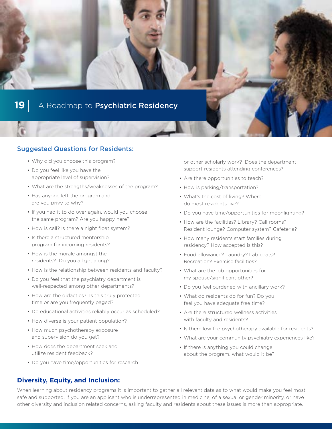

#### Suggested Questions for Residents:

- Why did you choose this program?
- Do you feel like you have the appropriate level of supervision?
- What are the strengths/weaknesses of the program?
- Has anyone left the program and are you privy to why?
- If you had it to do over again, would you choose the same program? Are you happy here?
- How is call? Is there a night float system?
- Is there a structured mentorship program for incoming residents?
- How is the morale amongst the residents? Do you all get along?
- How is the relationship between residents and faculty?
- Do you feel that the psychiatry department is well-respected among other departments?
- How are the didactics? Is this truly protected time or are you frequently paged?
- Do educational activities reliably occur as scheduled?
- How diverse is your patient population?
- How much psychotherapy exposure and supervision do you get?
- How does the department seek and utilize resident feedback?
- Do you have time/opportunities for research

or other scholarly work? Does the department support residents attending conferences?

- Are there opportunities to teach?
- How is parking/transportation?
- What's the cost of living? Where do most residents live?
- Do you have time/opportunities for moonlighting?
- How are the facilities? Library? Call rooms? Resident lounge? Computer system? Cafeteria?
- How many residents start families during residency? How accepted is this?
- Food allowance? Laundry? Lab coats? Recreation? Exercise facilities?
- What are the job opportunities for my spouse/significant other?
- Do you feel burdened with ancillary work?
- What do residents do for fun? Do you feel you have adequate free time?
- Are there structured wellness activities with faculty and residents?
- Is there low fee psychotherapy available for residents?
- What are your community psychiatry experiences like?
- If there is anything you could change about the program, what would it be?

**Diversity, Equity, and Inclusion:** 

When learning about residency programs it is important to gather all relevant data as to what would make you feel most safe and supported. If you are an applicant who is underrepresented in medicine, of a sexual or gender minority, or have other diversity and inclusion related concerns, asking faculty and residents about these issues is more than appropriate.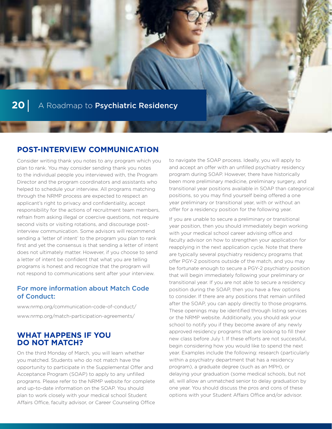

# **POST-INTERVIEW COMMUNICATION**

Consider writing thank you notes to any program which you plan to rank. You may consider sending thank you notes to the individual people you interviewed with, the Program Director and the program coordinators and assistants who helped to schedule your interview. All programs matching through the NRMP process are expected to respect an applicant's right to privacy and confidentiality, accept responsibility for the actions of recruitment team members, refrain from asking illegal or coercive questions, not require second visits or visiting rotations, and discourage postinterview communication. Some advisors will recommend sending a 'letter of intent' to the program you plan to rank first and yet the consensus is that sending a letter of intent does not ultimately matter. However, if you choose to send a letter of intent be confident that what you are telling programs is honest and recognize that the program will not respond to communications sent after your interview.

### For more information about Match Code of Conduct:

[www.nrmp.org/communication-code-of-conduct/](http://www.nrmp.org/communication-code-of-conduct/) [www.nrmp.org/match-participation-agreements/](http://www.nrmp.org/match-participation-agreements/)

## **WHAT HAPPENS IF YOU DO NOT MATCH?**

On the third Monday of March, you will learn whether you matched. Students who do not match have the opportunity to participate in the Supplemental Offer and Acceptance Program (SOAP) to apply to any unfilled programs. Please refer to the NRMP website for complete and up-to-date information on the SOAP. You should plan to work closely with your medical school Student Affairs Office, faculty advisor, or Career Counseling Office

to navigate the SOAP process. Ideally, you will apply to and accept an offer with an unfilled psychiatry residency program during SOAP. However, there have historically been more preliminary medicine, preliminary surgery, and transitional year positions available in SOAP than categorical positions, so you may find yourself being offered a one year preliminary or transitional year, with or without an offer for a residency position for the following year.

If you are unable to secure a preliminary or transitional year position, then you should immediately begin working with your medical school career advising office and faculty advisor on how to strengthen your application for reapplying in the next application cycle. Note that there are typically several psychiatry residency programs that offer PGY-2 positions outside of the match, and you may be fortunate enough to secure a PGY-2 psychiatry position that will begin immediately following your preliminary or transitional year. If you are not able to secure a residency position during the SOAP, then you have a few options to consider. If there are any positions that remain unfilled after the SOAP, you can apply directly to those programs. These openings may be identified through listing services or the NRMP website. Additionally, you should ask your school to notify you if they become aware of any newly approved residency programs that are looking to fill their new class before July 1. If these efforts are not successful, begin considering how you would like to spend the next year. Examples include the following: research (particularly within a psychiatry department that has a residency program), a graduate degree (such as an MPH), or delaying your graduation (some medical schools, but not all, will allow an unmatched senior to delay graduation by one year. You should discuss the pros and cons of these options with your Student Affairs Office and/or advisor.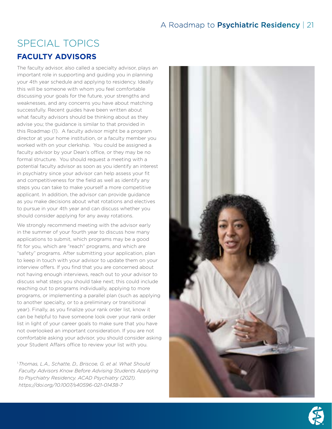# SPECIAL TOPICS **FACULTY ADVISORS**

The faculty advisor, also called a specialty advisor, plays an important role in supporting and guiding you in planning your 4th year schedule and applying to residency. Ideally this will be someone with whom you feel comfortable discussing your goals for the future, your strengths and weaknesses, and any concerns you have about matching successfully. Recent guides have been written about what faculty advisors should be thinking about as they advise you; the guidance is similar to that provided in this Roadmap (1). A faculty advisor might be a program director at your home institution, or a faculty member you worked with on your clerkship. You could be assigned a faculty advisor by your Dean's office, or they may be no formal structure. You should request a meeting with a potential faculty advisor as soon as you identify an interest in psychiatry since your advisor can help assess your fit and competitiveness for the field as well as identify any steps you can take to make yourself a more competitive applicant. In addition, the advisor can provide guidance as you make decisions about what rotations and electives to pursue in your 4th year and can discuss whether you should consider applying for any away rotations.

We strongly recommend meeting with the advisor early in the summer of your fourth year to discuss how many applications to submit, which programs may be a good fit for you, which are "reach" programs, and which are "safety" programs. After submitting your application, plan to keep in touch with your advisor to update them on your interview offers. If you find that you are concerned about not having enough interviews, reach out to your advisor to discuss what steps you should take next; this could include reaching out to programs individually, applying to more programs, or implementing a parallel plan (such as applying to another specialty, or to a preliminary or transitional year). Finally, as you finalize your rank order list, know it can be helpful to have someone look over your rank order list in light of your career goals to make sure that you have not overlooked an important consideration. If you are not comfortable asking your advisor, you should consider asking your Student Affairs office to review your list with you.

1.*Thomas, L.A., Schatte, D., Briscoe, G. et al. What Should Faculty Advisors Know Before Advising Students Applying to Psychiatry Residency. ACAD Psychiatry (2021). <https://doi.org/10.1007/s40596-021-01438-7>*



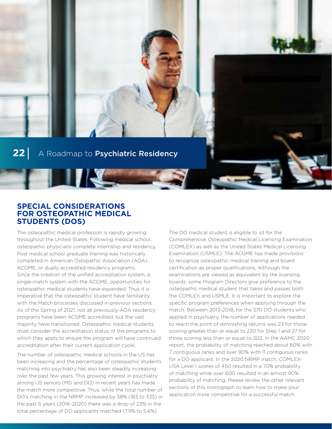**THE REAL PROPERTY** 

## **SPECIAL CONSIDERATIONS FOR OSTEOPATHIC MEDICAL STUDENTS (DOS)**

The osteopathic medical profession is rapidly growing throughout the United States. Following medical school, osteopathic physicians complete internship and residency. Post medical school graduate training was historically completed in American Ostopathic Association (AOA), ACGME, or dually accredited residency programs. Since the creation of the unified accreditation system, a single-match system with the ACGME, opportunities for osteopathic medical students have expanded. Thus it is imperative that the osteopathic student have familiarity with the Match processes discussed in previous sections. As of the Spring of 2021, not all previously-AOA residency programs have been ACGME accredited, but the vast majority have transitioned. Osteopathic medical students must consider the accreditation status of the programs to which they apply to ensure the program will have continued accreditation after their current application cycle.

The number of osteopathic medical schools in the US has been increasing and the percentage of osteopathic students matching into psychiatry has also been steadily increasing over the past few years. This growing interest in psychiatry among US seniors (MD and DO) in recent years has made the match more competitive. Thus, while the total number of DO's matching in the NRMP increased by 38% (183 to 335) in the past 5 years (2016-2020) there was a drop of 23% in the total percentage of DO applicants matched (7.9% to 5.6%).

The DO medical student is eligible to sit for the Comprehensive Osteopathic Medical Licensing Examination (COMLEX) as well as the United States Medical Licensing Examination (USMLE). The ACGME has made provisions to recognize osteopathic medical training and board certification as proper qualifications. Although the examinations are viewed as equivalent by the licensing boards, some Program Directors give preference to the osteopathic medical student that takes and passes both the COMLEX and USMLE. It is important to explore the specific program preferences when applying through the match. Between 2013-2018, for the 570 DO students who applied in psychiatry, the number of applications needed to reach the point of diminishing returns was 23 for those scoring greater than or equal to 220 for Step 1 and 27 for those scoring less than or equal to 202. In the AAMC 2020 report, the probability of matching reached about 80% with 7 contiguous ranks and over 90% with 11 contiguous ranks for a DO applicant. In the 2020 NRMP match, COMLEX-USA Level 1 scores of 450 resulted in a 70% probability of matching while over 600 resulted in an almost 90% probability of matching. Please review the other relevant sections of this monograph to learn how to make your application more competitive for a successful match.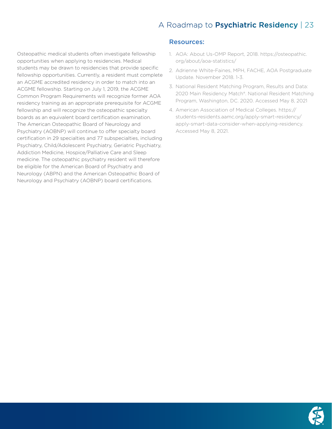Osteopathic medical students often investigate fellowship opportunities when applying to residencies. Medical students may be drawn to residencies that provide specific fellowship opportunities. Currently, a resident must complete an ACGME accredited residency in order to match into an ACGME fellowship. Starting on July 1, 2019, the ACGME Common Program Requirements will recognize former AOA residency training as an appropriate prerequisite for ACGME fellowship and will recognize the osteopathic specialty boards as an equivalent board certification examination. The American Osteopathic Board of Neurology and Psychiatry (AOBNP) will continue to offer specialty board certification in 29 specialties and 77 subspecialties, including Psychiatry, Child/Adolescent Psychiatry, Geriatric Psychiatry, Addiction Medicine, Hospice/Palliative Care and Sleep medicine. The osteopathic psychiatry resident will therefore be eligible for the American Board of Psychiatry and Neurology (ABPN) and the American Osteopathic Board of Neurology and Psychiatry (AOBNP) board certifications.

#### Resources:

- 1. AOA: About Us-OMP Report, 2018. https://osteopathic. org/about/aoa-statistics/
- 2. Adrienne White-Faines, MPH, FACHE, AOA Postgraduate Update. November 2018. 1-3.
- 3. National Resident Matching Program, Results and Data: 2020 Main Residency Match®. National Resident Matching Program, Washington, DC. 2020. Accessed May 8, 2021
- 4. American Association of Medical Colleges. https:// students-residents.aamc.org/apply-smart-residency/ apply-smart-data-consider-when-applying-residency. Accessed May 8, 2021.

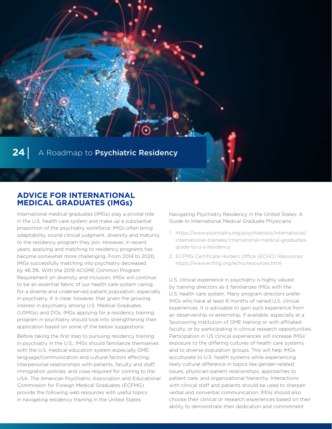## **ADVICE FOR INTERNATIONAL MEDICAL GRADUATES (IMGs)**

International medical graduates (IMGs) play a pivotal role in the U.S. health care system and make up a substantial proportion of the psychiatry workforce. IMGs often bring adaptability, sound clinical judgment, diversity and maturity to the residency program they join. However, in recent years, applying and matching to residency programs has become somewhat more challenging. From 2014 to 2020, IMGs successfully matching into psychiatry decreased by 46.3%. With the 2019 ACGME Common Program Requirement on diversity and inclusion, IMGs will continue to be an essential fabric of our health care system caring for a diverse and underserved patient population, especially in psychiatry. It is clear, however, that given the growing interest in psychiatry among U.S. Medical Graduates (USMGs) and DOs, IMGs applying for a residency training program in psychiatry should look into strengthening their application based on some of the below suggestions:

Before taking the first step to pursuing residency training in psychiatry in the U.S., IMGs should familiarize themselves with the U.S. medical education system especially GME; language/communication and cultural factors affecting interpersonal relationships with patients, faculty and staff; immigration policies; and visas required for coming to the USA. The American Psychiatric Association and Educational Commission for Foreign Medical Graduates (ECFMG) provide the following web resources with useful topics in navigating residency training in the United States:

Navigating Psychiatry Residency in the United States: A Guide to International Medical Graduate Physicians:

- 1. [https://www.psychiatry.org/psychiatrists/international/](https://www.psychiatry.org/psychiatrists/international/international-trainees/international-medical-graduates-guide-to-u-s-residency) [international-trainees/international-medical-graduates](https://www.psychiatry.org/psychiatrists/international/international-trainees/international-medical-graduates-guide-to-u-s-residency)[guide-to-u-s-residency](https://www.psychiatry.org/psychiatrists/international/international-trainees/international-medical-graduates-guide-to-u-s-residency)
- 2. ECFMG Certificate Holders Office (ECHO) Resources: <https://www.ecfmg.org/echo/resources.html>

U.S. clinical experience in psychiatry is highly valued by training directors as it familiarizes IMGs with the U.S. health care system. Many program directors prefer IMGs who have at least 6 months of varied U.S. clinical experiences. It is advisable to gain such experience from an observership or externship, if available, especially at a Sponsoring Institution of GME training or with affiliated faculty, or by participating in clinical research opportunities. Participation in US clinical experiences will increase IMGs' exposure to the differing cultures of health care systems and to diverse population groups. This will help IMGs acculturate to U.S. health systems while experiencing likely cultural difference in topics like gender-related issues, physician-patient relationships, approaches to patient care, and organizational hierarchy. Interactions with clinical staff and patients should be used to sharpen verbal and nonverbal communication. IMGs should also choose their clinical or research experiences based on their ability to demonstrate their dedication and commitment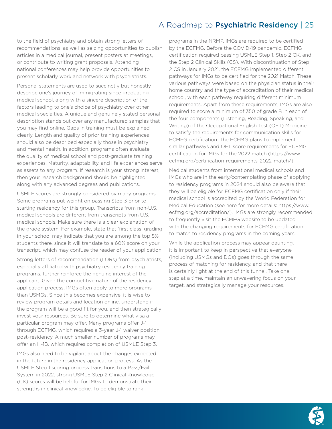to the field of psychiatry and obtain strong letters of recommendations, as well as seizing opportunities to publish articles in a medical journal, present posters at meetings, or contribute to writing grant proposals. Attending national conferences may help provide opportunities to present scholarly work and network with psychiatrists.

Personal statements are used to succinctly but honestly describe one's journey of immigrating since graduating medical school, along with a sincere description of the factors leading to one's choice of psychiatry over other medical specialties. A unique and genuinely stated personal description stands out over any manufactured samples that you may find online. Gaps in training must be explained clearly. Length and quality of prior training experiences should also be described especially those in psychiatry and mental health. In addition, programs often evaluate the quality of medical school and post-graduate training experiences. Maturity, adaptability, and life experiences serve as assets to any program. If research is your strong interest, then your research background should be highlighted along with any advanced degrees and publications.

USMLE scores are strongly considered by many programs. Some programs put weight on passing Step 3 prior to starting residency for this group. Transcripts from non-U.S. medical schools are different from transcripts from U.S. medical schools. Make sure there is a clear explanation of the grade system. For example, state that 'first class' grading in your school may indicate that you are among the top 5% students there, since it will translate to a 60% score on your transcript, which may confuse the reader of your application.

Strong letters of recommendation (LORs) from psychiatrists, especially affiliated with psychiatry residency training programs, further reinforce the genuine interest of the applicant. Given the competitive nature of the residency application process, IMGs often apply to more programs than USMGs. Since this becomes expensive, it is wise to review program details and location online, understand if the program will be a good fit for you, and then strategically invest your resources. Be sure to determine what visa a particular program may offer. Many programs offer J-1 through ECFMG, which requires a 3-year J-1 waiver position post-residency. A much smaller number of programs may offer an H-1B, which requires completion of USMLE Step 3.

IMGs also need to be vigilant about the changes expected in the future in the residency application process. As the USMLE Step 1 scoring process transitions to a Pass/Fail System in 2022, strong USMLE Step 2 Clinical Knowledge (CK) scores will be helpful for IMGs to demonstrate their strengths in clinical knowledge. To be eligible to rank

programs in the NRMP, IMGs are required to be certified by the ECFMG. Before the COVID-19 pandemic, ECFMG certification required passing USMLE Step 1, Step 2 CK, and the Step 2 Clinical Skills (CS). With discontinuation of Step 2 CS in January 2021, the ECFMG implemented different pathways for IMGs to be certified for the 2021 Match. These various pathways were based on the physician status in their home country and the type of accreditation of their medical school, with each pathway requiring different minimum requirements. Apart from these requirements, IMGs are also required to score a minimum of 350 of grade B in each of the four components (Listening, Reading, Speaking, and Writing) of the Occupational English Test (OET) Medicine to satisfy the requirements for communication skills for ECMFG certification. The ECFMG plans to implement similar pathways and OET score requirements for ECFMG certification for IMGs for the 2022 match ([https://www.](https://www.ecfmg.org/certification-requirements-2022-match/) [ecfmg.org/certification-requirements-2022-match/](https://www.ecfmg.org/certification-requirements-2022-match/)).

Medical students from international medical schools and IMGs who are in the early/contemplating phase of applying to residency programs in 2024 should also be aware that they will be eligible for ECFMG certification only if their medical school is accredited by the World Federation for Medical Education (see here for more details: [https://www.](https://www.ecfmg.org/accreditation/) [ecfmg.org/accreditation/](https://www.ecfmg.org/accreditation/)). IMGs are strongly recommended to frequently visit the ECMFG website to be updated with the changing requirements for ECFMG certification to match to residency programs in the coming years.

While the application process may appear daunting, it is important to keep in perspective that everyone (including USMGs and DOs) goes through the same process of matching for residency, and that there is certainly light at the end of this tunnel. Take one step at a time, maintain an unwavering focus on your target, and strategically manage your resources.

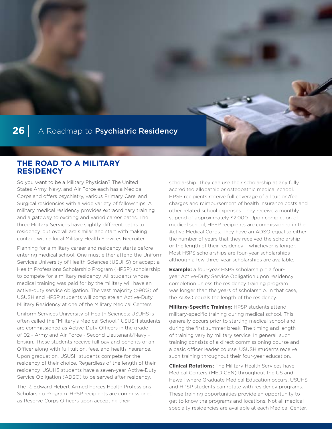## **THE ROAD TO A MILITARY RESIDENCY**

So you want to be a Military Physician? The United States Army, Navy, and Air Force each has a Medical Corps and offers psychiatry, various Primary Care, and Surgical residencies with a wide variety of fellowships. A military medical residency provides extraordinary training and a gateway to exciting and varied career paths. The three Military Services have slightly different paths to residency, but overall are similar and start with making contact with a local Military Health Services Recruiter.

Planning for a military career and residency starts before entering medical school. One must either attend the Uniform Services University of Health Sciences (USUHS) or accept a Health Professions Scholarship Program (HPSP) scholarship to compete for a military residency. All students whose medical training was paid for by the military will have an active-duty service obligation. The vast majority (>90%) of USUSH and HPSP students will complete an Active-Duty Military Residency at one of the Military Medical Centers.

Uniform Services University of Health Sciences: USUHS is often called the "Military's Medical School." USUSH students are commissioned as Active-Duty Officers in the grade of 02 - Army and Air Force - Second Lieutenant/Navy – Ensign. These students receive full pay and benefits of an Officer along with full tuition, fees, and health insurance. Upon graduation, USUSH students compete for the residency of their choice. Regardless of the length of their residency, USUHS students have a seven-year Active-Duty Service Obligation (ADSO) to be served after residency.

The R. Edward Hebert Armed Forces Health Professions Scholarship Program: HPSP recipients are commissioned as Reserve Corps Officers upon accepting their

scholarship. They can use their scholarship at any fully accredited allopathic or osteopathic medical school. HPSP recipients receive full coverage of all tuition/fee charges and reimbursement of health insurance costs and other related school expenses. They receive a monthly stipend of approximately \$2,000. Upon completion of medical school, HPSP recipients are commissioned in the Active Medical Corps. They have an ADSO equal to either the number of years that they received the scholarship or the length of their residency – whichever is longer. Most HSPS scholarships are four-year scholarships although a few three-year scholarships are available.

**Example:** a four-year HSPS scholarship = a fouryear Active-Duty Service Obligation upon residency completion unless the residency training program was longer than the years of scholarship. In that case, the ADSO equals the length of the residency.

**Military-Specific Training:** HPSP students attend military-specific training during medical school. This generally occurs prior to starting medical school and during the first summer break. The timing and length of training vary by military service. In general, such training consists of a direct commissioning course and a basic officer leader course. USUSH students receive such training throughout their four-year education.

**Clinical Rotations:** The Military Health Services have Medical Centers (MED CEN) throughout the US and Hawaii where Graduate Medical Education occurs. USUHS and HPSP students can rotate with residency programs. These training opportunities provide an opportunity to get to know the programs and locations. Not all medical specialty residencies are available at each Medical Center.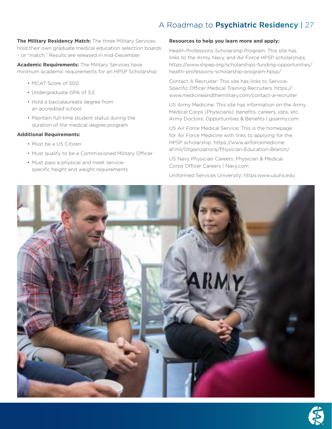**The Military Residency Match:** The three Military Services hold their own graduate medical education selection boards – or "match." Results are released in mid-December.

**Academic Requirements:** The Military Services have minimum academic requirements for an HPSP Scholarship:

- MCAT Score of 500
- Undergraduate GPA of 3.2
- Hold a baccalaureate degree from an accredited school
- Maintain full-time student status during the duration of the medical degree program

#### **Additional Requirements:**

- Must be a US Citizen
- Must qualify to be a Commissioned Military Officer
- Must pass a physical and meet servicespecific height and weight requirements

#### **Resources to help you learn more and apply:**

Health Professions Scholarship Program: This site has links to the Army, Navy, and Air Force HPSP scholarships. [https://www.shpep.org/scholarships-funding-opportunities/](https://www.shpep.org/scholarships-funding-opportunities/health-professions-scholarship-program-hpsp/) [health-professions-scholarship-program-hpsp/](https://www.shpep.org/scholarships-funding-opportunities/health-professions-scholarship-program-hpsp/)

Contact A Recruiter: This site has links to Service-Specific Officer Medical Training Recruiters. [https://](https://www.medicineandthemilitary.com/contact-a-recruiter) [www.medicineandthemilitary.com/contact-a-recruiter](https://www.medicineandthemilitary.com/contact-a-recruiter)

US Army Medicine: This site has information on the Army Medical Corps (Physicians): benefits, careers, jobs, etc. Army Doctors: Opportunities & Benefits | [goarmy.com](http://goarmy.com)

US Air Force Medical Service: This is the homepage for Air Force Medicine with links to applying for the HPSP scholarship. [https://www.airforcemedicine.](https://www.airforcemedicine.af.mil/Organizations/Physician-Education-Branch/) [af.mil/Organizations/Physician-Education-Branch/](https://www.airforcemedicine.af.mil/Organizations/Physician-Education-Branch/)

US Navy Physician Careers: Physician & Medical Corps Officer Careers | [Navy.com](http://Navy.com)

Uniformed Services University: https[:www.usuhs.edu](http://www.usuhs.edu)



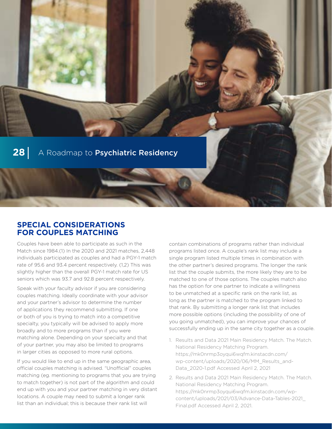

## **SPECIAL CONSIDERATIONS FOR COUPLES MATCHING**

Couples have been able to participate as such in the Match since 1984.(1) In the 2020 and 2021 matches, 2,448 individuals participated as couples and had a PGY-1 match rate of 95.6 and 93.4 percent respectively. (1,2) This was slightly higher than the overall PGY-1 match rate for US seniors which was 93.7 and 92.8 percent respectively.

Speak with your faculty advisor if you are considering couples matching. Ideally coordinate with your advisor and your partner's advisor to determine the number of applications they recommend submitting. If one or both of you is trying to match into a competitive specialty, you typically will be advised to apply more broadly and to more programs than if you were matching alone. Depending on your specialty and that of your partner, you may also be limited to programs in larger cities as opposed to more rural options.

If you would like to end up in the same geographic area, official couples matching is advised. "Unofficial" couples matching (eg. mentioning to programs that you are trying to match together) is not part of the algorithm and could end up with you and your partner matching in very distant locations. A couple may need to submit a longer rank list than an individual; this is because their rank list will

contain combinations of programs rather than individual programs listed once. A couple's rank list may include a single program listed multiple times in combination with the other partner's desired programs. The longer the rank list that the couple submits, the more likely they are to be matched to one of those options. The couples match also has the option for one partner to indicate a willingness to be unmatched at a specific rank on the rank list, as long as the partner is matched to the program linked to that rank. By submitting a longer rank list that includes more possible options (including the possibility of one of you going unmatched), you can improve your chances of successfully ending up in the same city together as a couple.

- 1. Results and Data 2021 Main Residency Match. The Match. National Residency Matching Program. [https://mk0nrmp3oyqui6wqfm.kinstacdn.com/](https://mk0nrmp3oyqui6wqfm.kinstacdn.com/wp-content/uploads/2020/06/MM_Results_and-Data_2020-1.pdf) [wp-content/uploads/2020/06/MM\\_Results\\_and-](https://mk0nrmp3oyqui6wqfm.kinstacdn.com/wp-content/uploads/2020/06/MM_Results_and-Data_2020-1.pdf)[Data\\_2020-1.pdf](https://mk0nrmp3oyqui6wqfm.kinstacdn.com/wp-content/uploads/2020/06/MM_Results_and-Data_2020-1.pdf) Accessed April 2, 2021
- 2. Results and Data 2021 Main Residency Match. The Match. National Residency Matching Program. [https://mk0nrmp3oyqui6wqfm.kinstacdn.com/wp](https://mk0nrmp3oyqui6wqfm.kinstacdn.com/wp-content/uploads/2021/03/Advance-Data-Tables-2021_Final.pdf)[content/uploads/2021/03/Advance-Data-Tables-2021\\_](https://mk0nrmp3oyqui6wqfm.kinstacdn.com/wp-content/uploads/2021/03/Advance-Data-Tables-2021_Final.pdf) [Final.pdf](https://mk0nrmp3oyqui6wqfm.kinstacdn.com/wp-content/uploads/2021/03/Advance-Data-Tables-2021_Final.pdf) Accessed April 2, 2021.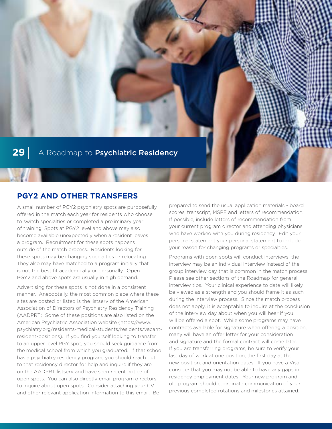

# **PGY2 AND OTHER TRANSFERS**

A small number of PGY2 psychiatry spots are purposefully offered in the match each year for residents who choose to switch specialties or completed a preliminary year of training. Spots at PGY2 level and above may also become available unexpectedly when a resident leaves a program. Recruitment for these spots happens outside of the match process. Residents looking for these spots may be changing specialties or relocating. They also may have matched to a program initially that is not the best fit academically or personally. Open PGY2 and above spots are usually in high demand.

Advertising for these spots is not done in a consistent manner. Anecdotally, the most common place where these sites are posted or listed is the listserv of the American Association of Directors of Psychiatry Residency Training (AADPRT). Some of these positions are also listed on the American Psychiatric Association website [\(https://www.](https://www.psychiatry.org/residents-medical-students/residents/vacant-resident-positions) [psychiatry.org/residents-medical-students/residents/vacant](https://www.psychiatry.org/residents-medical-students/residents/vacant-resident-positions)[resident-positions\)](https://www.psychiatry.org/residents-medical-students/residents/vacant-resident-positions). If you find yourself looking to transfer to an upper level PGY spot, you should seek guidance from the medical school from which you graduated. If that school has a psychiatry residency program, you should reach out to that residency director for help and inquire if they are on the AADPRT listserv and have seen recent notice of open spots. You can also directly email program directors to inquire about open spots. Consider attaching your CV and other relevant application information to this email. Be

prepared to send the usual application materials - board scores, transcript, MSPE and letters of recommendation. If possible, include letters of recommendation from your current program director and attending physicians who have worked with you during residency. Edit your personal statement your personal statement to include your reason for changing programs or specialties.

Programs with open spots will conduct interviews; the interview may be an individual interview instead of the group interview day that is common in the match process. Please see other sections of the Roadmap for general interview tips. Your clinical experience to date will likely be viewed as a strength and you should frame it as such during the interview process. Since the match process does not apply, it is acceptable to inquire at the conclusion of the interview day about when you will hear if you will be offered a spot. While some programs may have contracts available for signature when offering a position, many will have an offer letter for your consideration and signature and the formal contract will come later. If you are transferring programs, be sure to verify your last day of work at one position, the first day at the new position, and orientation dates. If you have a Visa, consider that you may not be able to have any gaps in residency employment dates. Your new program and old program should coordinate communication of your previous completed rotations and milestones attained.